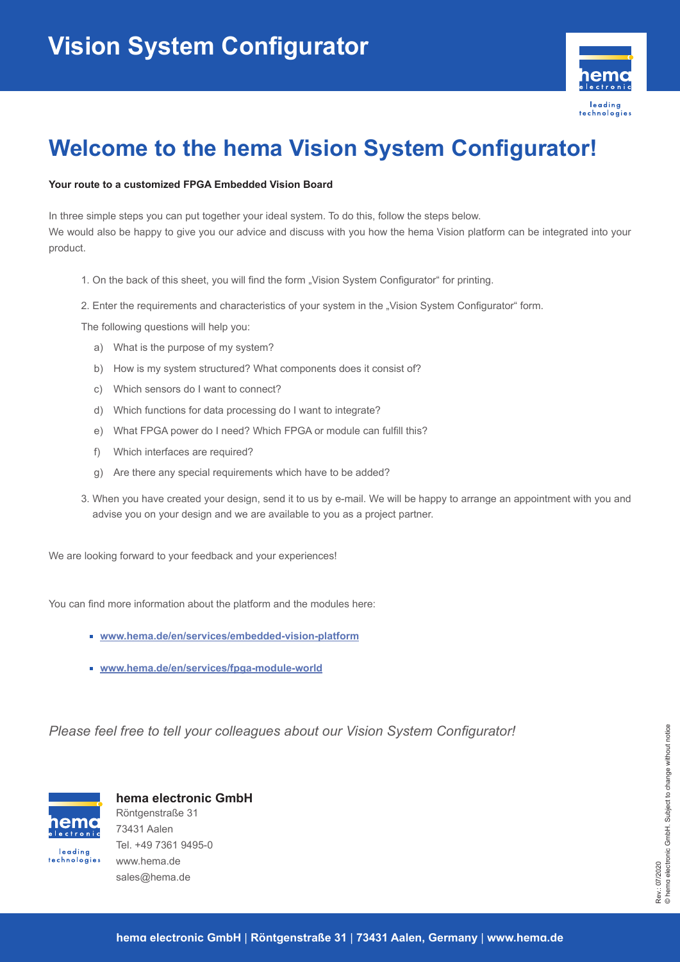

## **Welcome to the hema Vision System Configurator!**

## **Your route to a customized FPGA Embedded Vision Board**

In three simple steps you can put together your ideal system. To do this, follow the steps below. We would also be happy to give you our advice and discuss with you how the hema Vision platform can be integrated into your product.

- 1. On the back of this sheet, you will find the form "Vision System Configurator" for printing.
- 2. Enter the requirements and characteristics of your system in the "Vision System Configurator" form.

The following questions will help you:

- a) What is the purpose of my system?
- b) How is my system structured? What components does it consist of?
- c) Which sensors do I want to connect?
- d) Which functions for data processing do I want to integrate?
- e) What FPGA power do I need? Which FPGA or module can fulfill this?
- f) Which interfaces are required?
- g) Are there any special requirements which have to be added?
- 3. When you have created your design, send it to us by e-mail. We will be happy to arrange an appointment with you and advise you on your design and we are available to you as a project partner.

We are looking forward to your feedback and your experiences!

You can find more information about the platform and the modules here:

- **www.hema.de/en/services/embedded-vision-platform**
- **www.hema.de/en/services/fpga-module-world**

*Please feel free to tell your colleagues about our Vision System Configurator!*



technologies

**hema electronic GmbH**  Röntgenstraße 31 73431 Aalen Tel. +49 7361 9495-0 www.hema.de sales@hema.de